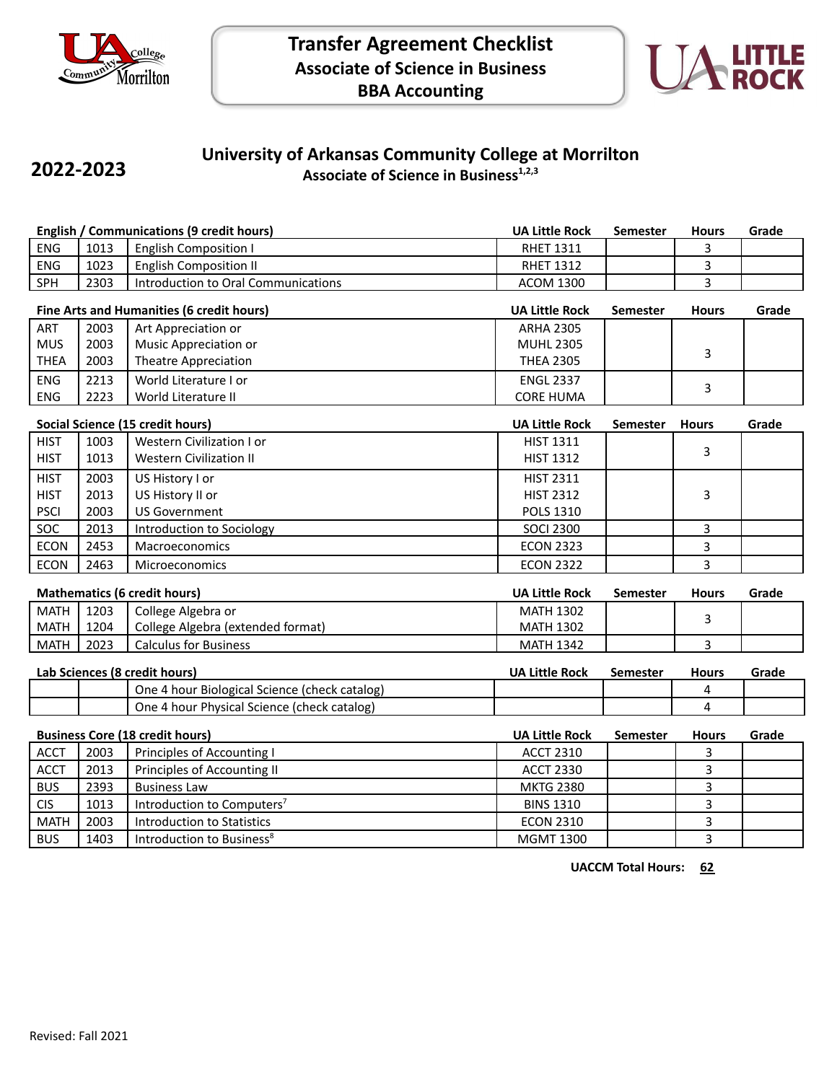

**2022-2023**



## **University of Arkansas Community College at Morrilton Associate of Science in Business1,2,3**

| English / Communications (9 credit hours) |      |                                     | <b>UA Little Rock</b> | Semester | <b>Hours</b> | Grade |
|-------------------------------------------|------|-------------------------------------|-----------------------|----------|--------------|-------|
| <b>ENG</b>                                | 1013 | English Composition I               | <b>RHET 1311</b>      |          |              |       |
| <b>ENG</b>                                | 1023 | <b>English Composition II</b>       | <b>RHET 1312</b>      |          |              |       |
| <b>SPH</b>                                | 2303 | Introduction to Oral Communications | ACOM 1300             |          |              |       |
|                                           |      |                                     |                       |          |              |       |

| Fine Arts and Humanities (6 credit hours) |      |                       | <b>UA Little Rock</b> | <b>Semester</b> | <b>Hours</b> | Grade |
|-------------------------------------------|------|-----------------------|-----------------------|-----------------|--------------|-------|
| <b>ART</b>                                | 2003 | Art Appreciation or   | <b>ARHA 2305</b>      |                 |              |       |
| <b>MUS</b>                                | 2003 | Music Appreciation or | <b>MUHL 2305</b>      |                 |              |       |
| THEA                                      | 2003 | Theatre Appreciation  | <b>THEA 2305</b>      |                 |              |       |
| <b>ENG</b>                                | 2213 | World Literature I or | <b>ENGL 2337</b>      |                 |              |       |
| <b>ENG</b>                                | 2223 | World Literature II   | <b>CORE HUMA</b>      |                 |              |       |

|             | Social Science (15 credit hours) |                                |                  | <b>Semester</b> | <b>Hours</b> | Grade |
|-------------|----------------------------------|--------------------------------|------------------|-----------------|--------------|-------|
| <b>HIST</b> | 1003                             | Western Civilization I or      | <b>HIST 1311</b> |                 |              |       |
| <b>HIST</b> | 1013                             | <b>Western Civilization II</b> | <b>HIST 1312</b> |                 | 3            |       |
| <b>HIST</b> | 2003                             | US History I or                | <b>HIST 2311</b> |                 |              |       |
| <b>HIST</b> | 2013                             | US History II or               | <b>HIST 2312</b> |                 | 3            |       |
| <b>PSCI</b> | 2003                             | <b>US Government</b>           | <b>POLS 1310</b> |                 |              |       |
| <b>SOC</b>  | 2013                             | Introduction to Sociology      | <b>SOCI 2300</b> |                 |              |       |
| <b>ECON</b> | 2453                             | <b>Macroeconomics</b>          | <b>ECON 2323</b> |                 |              |       |
| <b>ECON</b> | 2463                             | <b>Microeconomics</b>          | <b>ECON 2322</b> |                 |              |       |

|             | Mathematics (6 credit hours)<br>UA Little Rock<br><b>Hours</b><br>Semester |                                   |                  | Grade |  |
|-------------|----------------------------------------------------------------------------|-----------------------------------|------------------|-------|--|
| <b>MATH</b> | 1203                                                                       | College Algebra or                | <b>MATH 1302</b> |       |  |
| <b>MATH</b> | 1204                                                                       | College Algebra (extended format) | <b>MATH 1302</b> |       |  |
| <b>MATH</b> | 2023                                                                       | <b>Calculus for Business</b>      | <b>MATH 1342</b> |       |  |

| Lab Sciences (8 credit hours) |  |                                               | <b>UA Little Rock</b> | Semester | Hours | Grade |
|-------------------------------|--|-----------------------------------------------|-----------------------|----------|-------|-------|
|                               |  | One 4 hour Biological Science (check catalog) |                       |          |       |       |
|                               |  | One 4 hour Physical Science (check catalog)   |                       |          |       |       |

|             |      | <b>Business Core (18 credit hours)</b> | <b>UA Little Rock</b> | <b>Semester</b> | <b>Hours</b> | Grade |
|-------------|------|----------------------------------------|-----------------------|-----------------|--------------|-------|
| <b>ACCT</b> | 2003 | Principles of Accounting I             | <b>ACCT 2310</b>      |                 |              |       |
| <b>ACCT</b> | 2013 | Principles of Accounting II            | <b>ACCT 2330</b>      |                 |              |       |
| <b>BUS</b>  | 2393 | <b>Business Law</b>                    | <b>MKTG 2380</b>      |                 |              |       |
| <b>CIS</b>  | 1013 | Introduction to Computers <sup>7</sup> | <b>BINS 1310</b>      |                 |              |       |
| <b>MATH</b> | 2003 | Introduction to Statistics             | <b>ECON 2310</b>      |                 |              |       |
| <b>BUS</b>  | 1403 | Introduction to Business <sup>8</sup>  | <b>MGMT 1300</b>      |                 |              |       |

**UACCM Total Hours: 62**